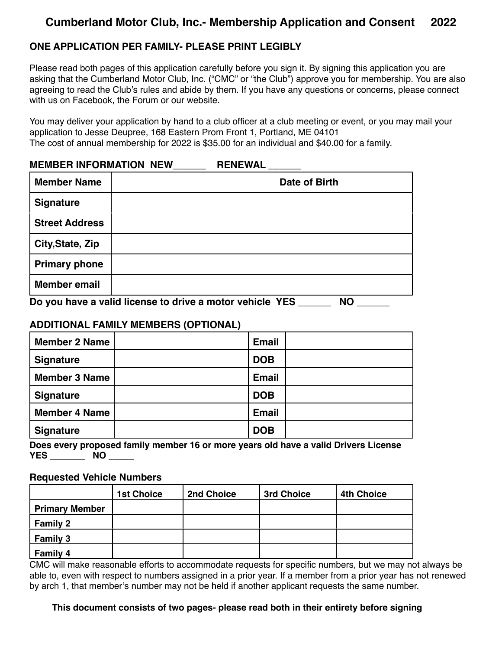# **Cumberland Motor Club, Inc.- Membership Application and Consent 2022**

### **ONE APPLICATION PER FAMILY- PLEASE PRINT LEGIBLY**

Please read both pages of this application carefully before you sign it. By signing this application you are asking that the Cumberland Motor Club, Inc. ("CMC" or "the Club") approve you for membership. You are also agreeing to read the Club's rules and abide by them. If you have any questions or concerns, please connect with us on Facebook, the Forum or our website.

You may deliver your application by hand to a club officer at a club meeting or event, or you may mail your application to Jesse Deupree, 168 Eastern Prom Front 1, Portland, ME 04101 The cost of annual membership for 2022 is \$35.00 for an individual and \$40.00 for a family.

#### **MEMBER INFORMATION NEW\_\_\_\_\_\_ RENEWAL \_\_\_\_\_\_**

| <b>Member Name</b>                                              | Date of Birth |  |  |  |
|-----------------------------------------------------------------|---------------|--|--|--|
| <b>Signature</b>                                                |               |  |  |  |
| <b>Street Address</b>                                           |               |  |  |  |
| City, State, Zip                                                |               |  |  |  |
| <b>Primary phone</b>                                            |               |  |  |  |
| <b>Member email</b>                                             |               |  |  |  |
| De veu hove e volid license to drive e motor vehicle VEC<br>NΙΛ |               |  |  |  |

## **Do you have a valid license to drive a motor vehicle YES \_\_\_\_\_\_ NO \_\_\_\_\_\_**

#### **ADDITIONAL FAMILY MEMBERS (OPTIONAL)**

| <b>Member 2 Name</b> | <b>Email</b> |  |
|----------------------|--------------|--|
| <b>Signature</b>     | <b>DOB</b>   |  |
| <b>Member 3 Name</b> | <b>Email</b> |  |
| <b>Signature</b>     | <b>DOB</b>   |  |
| <b>Member 4 Name</b> | <b>Email</b> |  |
| <b>Signature</b>     | <b>DOB</b>   |  |

**Does every proposed family member 16 or more years old have a valid Drivers License YES \_\_\_\_\_\_\_ NO \_\_\_\_\_**

#### **Requested Vehicle Numbers**

|                       | <b>1st Choice</b> | 2nd Choice | 3rd Choice | <b>4th Choice</b> |
|-----------------------|-------------------|------------|------------|-------------------|
| <b>Primary Member</b> |                   |            |            |                   |
| <b>Family 2</b>       |                   |            |            |                   |
| <b>Family 3</b>       |                   |            |            |                   |
| <b>Family 4</b>       |                   |            |            |                   |

CMC will make reasonable efforts to accommodate requests for specific numbers, but we may not always be able to, even with respect to numbers assigned in a prior year. If a member from a prior year has not renewed by arch 1, that member's number may not be held if another applicant requests the same number.

 **This document consists of two pages- please read both in their entirety before signing**